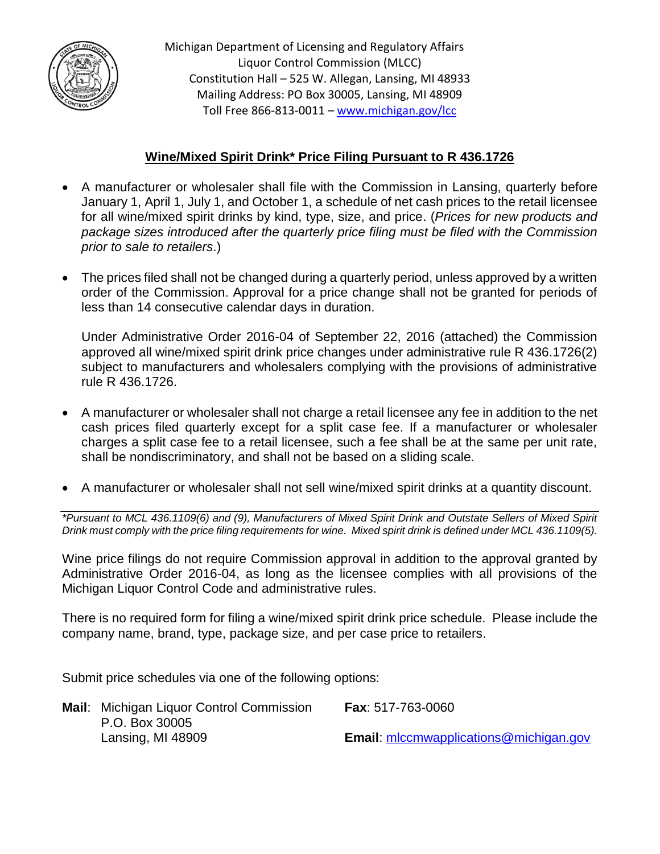

Michigan Department of Licensing and Regulatory Affairs Liquor Control Commission (MLCC) Constitution Hall – 525 W. Allegan, Lansing, MI 48933 Mailing Address: PO Box 30005, Lansing, MI 48909 Toll Free 866-813-0011 – [www.michigan.gov/lcc](http://www.michigan.gov/lcc)

## **Wine/Mixed Spirit Drink\* Price Filing Pursuant to R 436.1726**

- A manufacturer or wholesaler shall file with the Commission in Lansing, quarterly before January 1, April 1, July 1, and October 1, a schedule of net cash prices to the retail licensee for all wine/mixed spirit drinks by kind, type, size, and price. (*Prices for new products and package sizes introduced after the quarterly price filing must be filed with the Commission prior to sale to retailers*.)
- The prices filed shall not be changed during a quarterly period, unless approved by a written order of the Commission. Approval for a price change shall not be granted for periods of less than 14 consecutive calendar days in duration.

Under Administrative Order 2016-04 of September 22, 2016 (attached) the Commission approved all wine/mixed spirit drink price changes under administrative rule R 436.1726(2) subject to manufacturers and wholesalers complying with the provisions of administrative rule R 436.1726.

- A manufacturer or wholesaler shall not charge a retail licensee any fee in addition to the net cash prices filed quarterly except for a split case fee. If a manufacturer or wholesaler charges a split case fee to a retail licensee, such a fee shall be at the same per unit rate, shall be nondiscriminatory, and shall not be based on a sliding scale.
- A manufacturer or wholesaler shall not sell wine/mixed spirit drinks at a quantity discount.

*\*Pursuant to MCL 436.1109(6) and (9), Manufacturers of Mixed Spirit Drink and Outstate Sellers of Mixed Spirit Drink must comply with the price filing requirements for wine. Mixed spirit drink is defined under MCL 436.1109(5).*

Wine price filings do not require Commission approval in addition to the approval granted by Administrative Order 2016-04, as long as the licensee complies with all provisions of the Michigan Liquor Control Code and administrative rules.

There is no required form for filing a wine/mixed spirit drink price schedule. Please include the company name, brand, type, package size, and per case price to retailers.

Submit price schedules via one of the following options:

| Mail: Michigan Liquor Control Commission | <b>Fax: 517-763-0060</b>                      |
|------------------------------------------|-----------------------------------------------|
| P.O. Box 30005                           |                                               |
| Lansing, MI 48909                        | <b>Email:</b> mlccmwapplications@michigan.gov |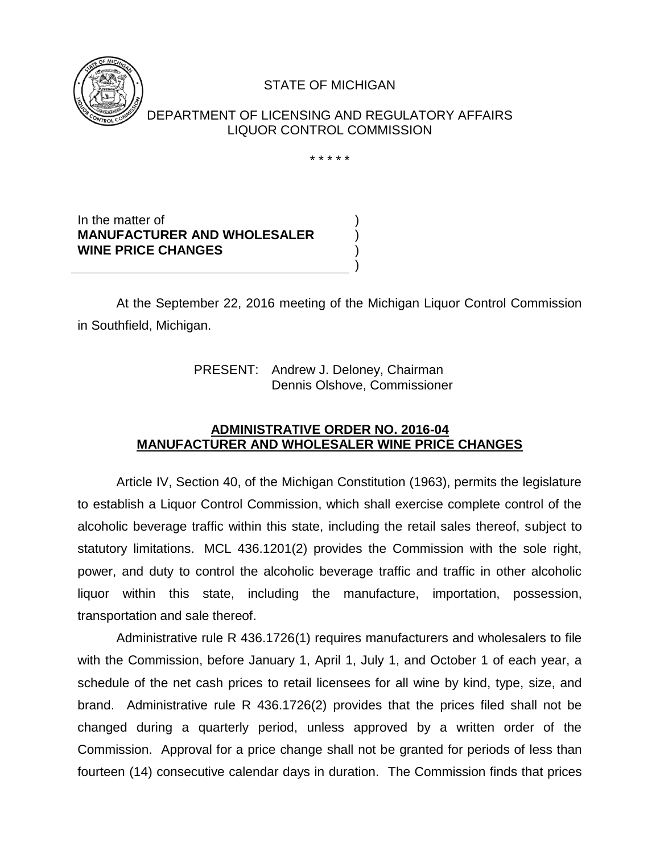

## STATE OF MICHIGAN

DEPARTMENT OF LICENSING AND REGULATORY AFFAIRS LIQUOR CONTROL COMMISSION

\* \* \* \* \*

) ) ) )

In the matter of **MANUFACTURER AND WHOLESALER WINE PRICE CHANGES**

At the September 22, 2016 meeting of the Michigan Liquor Control Commission in Southfield, Michigan.

> PRESENT: Andrew J. Deloney, Chairman Dennis Olshove, Commissioner

## **ADMINISTRATIVE ORDER NO. 2016-04 MANUFACTURER AND WHOLESALER WINE PRICE CHANGES**

Article IV, Section 40, of the Michigan Constitution (1963), permits the legislature to establish a Liquor Control Commission, which shall exercise complete control of the alcoholic beverage traffic within this state, including the retail sales thereof, subject to statutory limitations. MCL 436.1201(2) provides the Commission with the sole right, power, and duty to control the alcoholic beverage traffic and traffic in other alcoholic liquor within this state, including the manufacture, importation, possession, transportation and sale thereof.

Administrative rule R 436.1726(1) requires manufacturers and wholesalers to file with the Commission, before January 1, April 1, July 1, and October 1 of each year, a schedule of the net cash prices to retail licensees for all wine by kind, type, size, and brand. Administrative rule R 436.1726(2) provides that the prices filed shall not be changed during a quarterly period, unless approved by a written order of the Commission. Approval for a price change shall not be granted for periods of less than fourteen (14) consecutive calendar days in duration. The Commission finds that prices